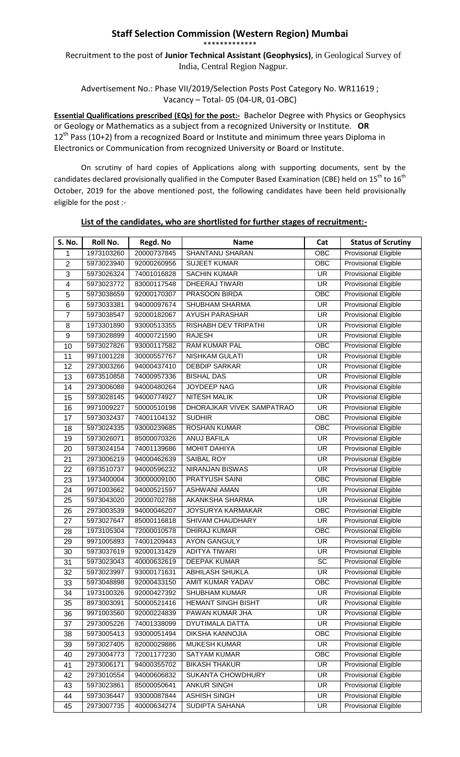## **Staff Selection Commission (Western Region) Mumbai** \*\*\*\*\*\*\*\*\*\*\*\*\*

Recruitment to the post of **Junior Technical Assistant (Geophysics)**, in Geological Survey of India, Central Region Nagpur.

Advertisement No.: Phase VII/2019/Selection Posts Post Category No. WR11619 ; Vacancy – Total- 05 (04-UR, 01-OBC)

**Essential Qualifications prescribed (EQs) for the post:-** Bachelor Degree with Physics or Geophysics or Geology or Mathematics as a subject from a recognized University or Institute. **OR**  $12<sup>th</sup>$  Pass (10+2) from a recognized Board or Institute and minimum three years Diploma in Electronics or Communication from recognized University or Board or Institute.

On scrutiny of hard copies of Applications along with supporting documents, sent by the candidates declared provisionally qualified in the Computer Based Examination (CBE) held on 15<sup>th</sup> to 16<sup>th</sup> October, 2019 for the above mentioned post, the following candidates have been held provisionally eligible for the post :-

| <b>S. No.</b>       | <b>Roll No.</b> | Regd. No    | <b>Name</b>                               | Cat                      | <b>Status of Scrutiny</b>   |
|---------------------|-----------------|-------------|-------------------------------------------|--------------------------|-----------------------------|
| 1                   | 1973103260      | 20000737845 | <b>SHANTANU SHARAN</b>                    | OBC                      | Provisional Eligible        |
| $\overline{2}$      | 5973023940      | 92000260956 | <b>SUJEET KUMAR</b>                       | OBC                      | <b>Provisional Eligible</b> |
| $\overline{3}$      | 5973026324      | 74001016828 | <b>SACHIN KUMAR</b>                       | $\overline{\mathsf{UR}}$ | <b>Provisional Eligible</b> |
| $\overline{4}$      | 5973023772      | 83000117548 | <b>DHEERAJ TIWARI</b>                     | <b>UR</b>                | <b>Provisional Eligible</b> |
| 5                   | 5973038659      | 92000170307 | PRASOON BIRDA                             | OBC                      | <b>Provisional Eligible</b> |
|                     | 5973033381      | 94000097674 | <b>SHUBHAM SHARMA</b>                     | <b>UR</b>                | <b>Provisional Eligible</b> |
| 6<br>$\overline{7}$ | 5973038547      | 92000182067 | <b>AYUSH PARASHAR</b>                     | $\overline{\mathsf{UR}}$ | <b>Provisional Eligible</b> |
|                     | 1973301890      | 93000513355 | RISHABH DEV TRIPATHI                      | <b>UR</b>                | <b>Provisional Eligible</b> |
| 8                   | 5973028899      | 40000721590 | <b>RAJESH</b>                             | <b>UR</b>                | <b>Provisional Eligible</b> |
| 9                   | 5973027826      | 93000117582 | <b>RAM KUMAR PAL</b>                      | $\overline{OBC}$         | <b>Provisional Eligible</b> |
| 10                  |                 |             |                                           |                          |                             |
| 11                  | 9971001228      | 30000557767 | NISHKAM GULATI                            | <b>UR</b>                | <b>Provisional Eligible</b> |
| 12                  | 2973003266      | 94000437410 | <b>DEBDIP SARKAR</b><br><b>BISHAL DAS</b> | <b>UR</b>                | <b>Provisional Eligible</b> |
| 13                  | 6973510858      | 74000957336 |                                           | <b>UR</b>                | <b>Provisional Eligible</b> |
| 14                  | 2973006088      | 94000480264 | <b>JOYDEEP NAG</b>                        | $\overline{\mathsf{UR}}$ | <b>Provisional Eligible</b> |
| 15                  | 5973028145      | 94000774927 | <b>NITESH MALIK</b>                       | $\overline{\mathsf{UR}}$ | <b>Provisional Eligible</b> |
| 16                  | 9971009227      | 50000510198 | DHORAJKAR VIVEK SAMPATRAO                 | $\overline{\mathsf{UR}}$ | <b>Provisional Eligible</b> |
| 17                  | 5973032437      | 74001104132 | <b>SUDHIR</b>                             | $\overline{OBC}$         | <b>Provisional Eligible</b> |
| 18                  | 5973024335      | 93000239685 | <b>ROSHAN KUMAR</b>                       | OBC                      | <b>Provisional Eligible</b> |
| 19                  | 5973026071      | 85000070326 | ANUJ BAFILA                               | <b>UR</b>                | Provisional Eligible        |
| 20                  | 5973024154      | 74001139686 | <b>MOHIT DAHIYA</b>                       | <b>UR</b>                | <b>Provisional Eligible</b> |
| 21                  | 2973006219      | 94000462639 | <b>SAIBAL ROY</b>                         | $\overline{\mathsf{UR}}$ | <b>Provisional Eligible</b> |
| 22                  | 6973510737      | 94000596232 | <b>NIRANJAN BISWAS</b>                    | $\overline{\mathsf{UR}}$ | <b>Provisional Eligible</b> |
| 23                  | 1973400004      | 30000009100 | PRATYUSH SAINI                            | OBC                      | <b>Provisional Eligible</b> |
| 24                  | 9971003662      | 94000521597 | <b>ASHWANI AMAN</b>                       | $\overline{\mathsf{UR}}$ | <b>Provisional Eligible</b> |
| 25                  | 5973043020      | 20000702788 | <b>AKANKSHA SHARMA</b>                    | $\overline{\mathsf{UR}}$ | <b>Provisional Eligible</b> |
| 26                  | 2973003539      | 94000046207 | JOYSURYA KARMAKAR                         | OBC                      | <b>Provisional Eligible</b> |
| 27                  | 5973027647      | 85000116818 | SHIVAM CHAUDHARY                          | <b>UR</b>                | <b>Provisional Eligible</b> |
| 28                  | 1973105304      | 72000010578 | <b>DHIRAJ KUMAR</b>                       | OBC                      | Provisional Eligible        |
| 29                  | 9971005893      | 74001209443 | <b>AYON GANGULY</b>                       | <b>UR</b>                | <b>Provisional Eligible</b> |
| 30                  | 5973037619      | 92000131429 | <b>ADITYA TIWARI</b>                      | <b>UR</b>                | <b>Provisional Eligible</b> |
| 31                  | 5973023043      | 40000632619 | <b>DEEPAK KUMAR</b>                       | $\overline{SC}$          | <b>Provisional Eligible</b> |
| 32                  | 5973023997      | 93000171631 | <b>ABHILASH SHUKLA</b>                    | <b>UR</b>                | Provisional Eligible        |
| 33                  | 5973048898      | 92000433150 | AMIT KUMAR YADAV                          | OBC                      | <b>Provisional Eligible</b> |
| 34                  | 1973100326      | 92000427392 | SHUBHAM KUMAR                             | <b>UR</b>                | <b>Provisional Eligible</b> |
| 35                  | 8973003091      | 50000521416 | <b>HEMANT SINGH BISHT</b>                 | <b>UR</b>                | <b>Provisional Eligible</b> |
| 36                  | 9971003560      | 92000224839 | PAWAN KUMAR JHA                           | <b>UR</b>                | Provisional Eligible        |
| 37                  | 2973005226      | 74001338099 | DYUTIMALA DATTA                           | UR                       | Provisional Eligible        |
| 38                  | 5973005413      | 93000051494 | DIKSHA KANNOJIA                           | OBC                      | <b>Provisional Eligible</b> |
| 39                  | 5973027405      | 82000029886 | <b>MUKESH KUMAR</b>                       | UR                       | Provisional Eligible        |
| 40                  | 2973004773      | 72001177230 | <b>SATYAM KUMAR</b>                       | OBC                      | Provisional Eligible        |
| 41                  | 2973006171      | 94000355702 | <b>BIKASH THAKUR</b>                      | UR                       | Provisional Eligible        |
| 42                  | 2973010554      | 94000606832 | SUKANTA CHOWDHURY                         | <b>UR</b>                | <b>Provisional Eligible</b> |
| 43                  | 5973023861      | 85000050641 | <b>ANKUR SINGH</b>                        | <b>UR</b>                | Provisional Eligible        |
| 44                  | 5973036447      | 93000087844 | <b>ASHISH SINGH</b>                       | <b>UR</b>                | Provisional Eligible        |
| 45                  | 2973007735      | 40000634274 | SUDIPTA SAHANA                            | <b>UR</b>                | Provisional Eligible        |

## **List of the candidates, who are shortlisted for further stages of recruitment:-**